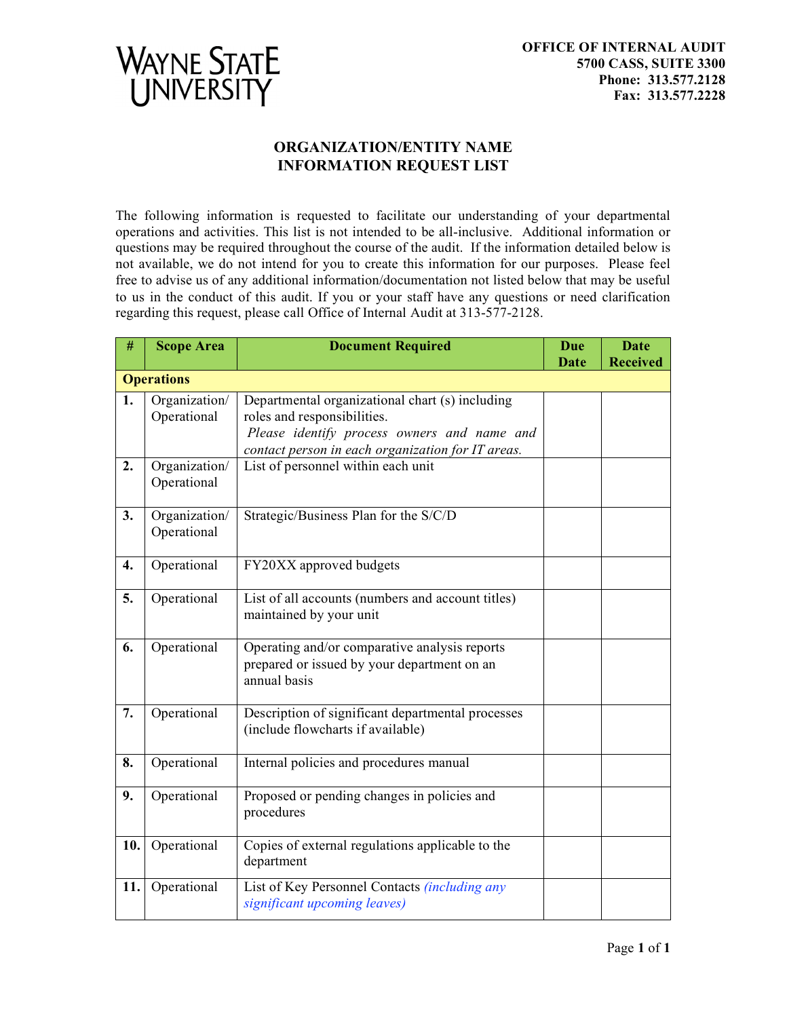

## **ORGANIZATION/ENTITY NAME INFORMATION REQUEST LIST**

The following information is requested to facilitate our understanding of your departmental operations and activities. This list is not intended to be all-inclusive. Additional information or questions may be required throughout the course of the audit. If the information detailed below is not available, we do not intend for you to create this information for our purposes. Please feel free to advise us of any additional information/documentation not listed below that may be useful to us in the conduct of this audit. If you or your staff have any questions or need clarification regarding this request, please call Office of Internal Audit at 313-577-2128.

| #                 | <b>Scope Area</b>            | <b>Document Required</b>                                                                                     | <b>Due</b> | <b>Date</b>     |  |  |
|-------------------|------------------------------|--------------------------------------------------------------------------------------------------------------|------------|-----------------|--|--|
|                   |                              |                                                                                                              | Date       | <b>Received</b> |  |  |
| <b>Operations</b> |                              |                                                                                                              |            |                 |  |  |
| 1.                | Organization/                | Departmental organizational chart (s) including                                                              |            |                 |  |  |
|                   | Operational                  | roles and responsibilities.                                                                                  |            |                 |  |  |
|                   |                              | Please identify process owners and name and                                                                  |            |                 |  |  |
| 2.                | Organization/                | contact person in each organization for IT areas.<br>List of personnel within each unit                      |            |                 |  |  |
|                   | Operational                  |                                                                                                              |            |                 |  |  |
| 3.                | Organization/<br>Operational | Strategic/Business Plan for the S/C/D                                                                        |            |                 |  |  |
| 4.                | Operational                  | FY20XX approved budgets                                                                                      |            |                 |  |  |
| 5.                | Operational                  | List of all accounts (numbers and account titles)<br>maintained by your unit                                 |            |                 |  |  |
| 6.                | Operational                  | Operating and/or comparative analysis reports<br>prepared or issued by your department on an<br>annual basis |            |                 |  |  |
| 7.                | Operational                  | Description of significant departmental processes<br>(include flowcharts if available)                       |            |                 |  |  |
| 8.                | Operational                  | Internal policies and procedures manual                                                                      |            |                 |  |  |
| 9.                | Operational                  | Proposed or pending changes in policies and<br>procedures                                                    |            |                 |  |  |
| 10.               | Operational                  | Copies of external regulations applicable to the<br>department                                               |            |                 |  |  |
| 11.               | Operational                  | List of Key Personnel Contacts <i>(including any</i><br>significant upcoming leaves)                         |            |                 |  |  |